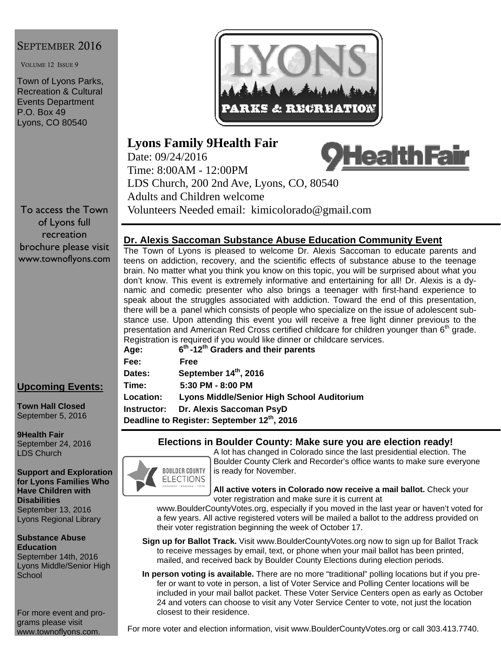# SEPTEMBER 2016

VOLUME 12 ISSUE 9

Town of Lyons Parks, Recreation & Cultural Events Department P.O. Box 49 Lyons, CO 80540

To access the Town of Lyons full recreation brochure please visit www.townoflyons.com

## **Upcoming Events:**

**Town Hall Closed**  September 5, 2016

**9Health Fair**  September 24, 2016 LDS Church

**Support and Exploration for Lyons Families Who Have Children with Disabilities**  September 13, 2016 Lyons Regional Library

**Substance Abuse Education**  September 14th, 2016 Lyons Middle/Senior High **School** 

For more event and programs please visit www.townoflyons.com.



# **Lyons Family 9Health Fair**

<u>HealthFair</u> Date: 09/24/2016 Time: 8:00AM - 12:00PM LDS Church, 200 2nd Ave, Lyons, CO, 80540 Adults and Children welcome Volunteers Needed email: kimicolorado@gmail.com

## **Dr. Alexis Saccoman Substance Abuse Education Community Event**

The Town of Lyons is pleased to welcome Dr. Alexis Saccoman to educate parents and teens on addiction, recovery, and the scientific effects of substance abuse to the teenage brain. No matter what you think you know on this topic, you will be surprised about what you don't know. This event is extremely informative and entertaining for all! Dr. Alexis is a dynamic and comedic presenter who also brings a teenager with first-hand experience to speak about the struggles associated with addiction. Toward the end of this presentation, there will be a panel which consists of people who specialize on the issue of adolescent substance use. Upon attending this event you will receive a free light dinner previous to the presentation and American Red Cross certified childcare for children younger than 6<sup>th</sup> grade. Registration is required if you would like dinner or childcare services.

| Age:                                                    | $6th$ -12 <sup>th</sup> Graders and their parents |  |
|---------------------------------------------------------|---------------------------------------------------|--|
| Fee:                                                    | Free                                              |  |
| <b>Dates:</b>                                           | September 14th, 2016                              |  |
| Time:                                                   | 5:30 PM - 8:00 PM                                 |  |
| <b>Location:</b>                                        | <b>Lyons Middle/Senior High School Auditorium</b> |  |
| Instructor:                                             | Dr. Alexis Saccoman PsyD                          |  |
| Deadline to Register: September 12 <sup>th</sup> , 2016 |                                                   |  |

#### **Elections in Boulder County: Make sure you are election ready!**



A lot has changed in Colorado since the last presidential election. The Boulder County Clerk and Recorder's office wants to make sure everyone is ready for November.

**All active voters in Colorado now receive a mail ballot.** Check your voter registration and make sure it is current at

www.BoulderCountyVotes.org, especially if you moved in the last year or haven't voted for a few years. All active registered voters will be mailed a ballot to the address provided on their voter registration beginning the week of October 17.

- **Sign up for Ballot Track.** Visit www.BoulderCountyVotes.org now to sign up for Ballot Track to receive messages by email, text, or phone when your mail ballot has been printed, mailed, and received back by Boulder County Elections during election periods.
- **In person voting is available.** There are no more "traditional" polling locations but if you prefer or want to vote in person, a list of Voter Service and Polling Center locations will be included in your mail ballot packet. These Voter Service Centers open as early as October 24 and voters can choose to visit any Voter Service Center to vote, not just the location closest to their residence.

For more voter and election information, visit www.BoulderCountyVotes.org or call 303.413.7740.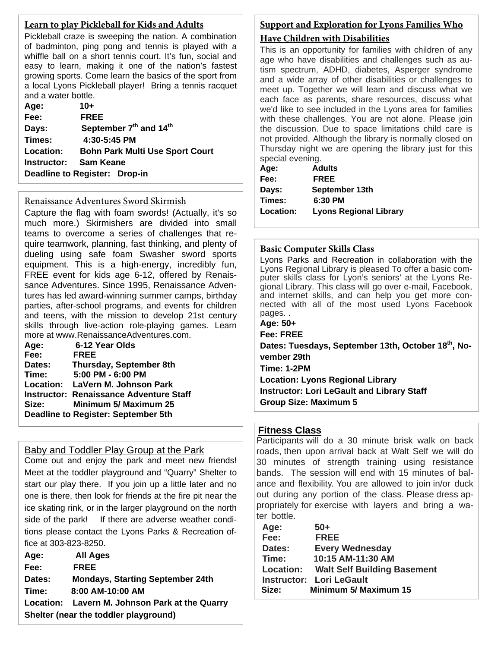## **Learn to play Pickleball for Kids and Adults**

Pickleball craze is sweeping the nation. A combination of badminton, ping pong and tennis is played with a whiffle ball on a short tennis court. It's fun, social and easy to learn, making it one of the nation's fastest growing sports. Come learn the basics of the sport from a local Lyons Pickleball player! Bring a tennis racquet and a water bottle.

| Age:                          | $10+$                                          |
|-------------------------------|------------------------------------------------|
| Fee:                          | <b>FREE</b>                                    |
| Days:                         | September 7 <sup>th</sup> and 14 <sup>th</sup> |
| Times:                        | 4:30-5:45 PM                                   |
| Location:                     | <b>Bohn Park Multi Use Sport Court</b>         |
| Instructor:                   | <b>Sam Keane</b>                               |
| Deadline to Register: Drop-in |                                                |

#### Renaissance Adventures Sword Skirmish

Capture the flag with foam swords! (Actually, it's so much more.) Skirmishers are divided into small teams to overcome a series of challenges that require teamwork, planning, fast thinking, and plenty of dueling using safe foam Swasher sword sports equipment. This is a high-energy, incredibly fun, FREE event for kids age 6-12, offered by Renaissance Adventures. Since 1995, Renaissance Adventures has led award-winning summer camps, birthday parties, after-school programs, and events for children and teens, with the mission to develop 21st century skills through live-action role-playing games. Learn more at www.RenaissanceAdventures.com.

| Age:          | 6-12 Year Olds                                 |
|---------------|------------------------------------------------|
| Fee:          | <b>FREE</b>                                    |
| <b>Dates:</b> | <b>Thursday, September 8th</b>                 |
| Time:         | 5:00 PM - 6:00 PM                              |
|               | Location: LaVern M. Johnson Park               |
|               | <b>Instructor: Renaissance Adventure Staff</b> |
| Size:         | <b>Minimum 5/ Maximum 25</b>                   |
|               | <b>Deadline to Register: September 5th</b>     |
|               |                                                |

## Baby and Toddler Play Group at the Park

Come out and enjoy the park and meet new friends! Meet at the toddler playground and "Quarry" Shelter to start our play there. If you join up a little later and no one is there, then look for friends at the fire pit near the ice skating rink, or in the larger playground on the north side of the park! If there are adverse weather conditions please contact the Lyons Parks & Recreation office at 303-823-8250.

| Age:                                  | <b>All Ages</b>                                |
|---------------------------------------|------------------------------------------------|
| Fee:                                  | <b>FREE</b>                                    |
| Dates:                                | <b>Mondays, Starting September 24th</b>        |
| Time:                                 | 8:00 AM-10:00 AM                               |
|                                       | Location: Lavern M. Johnson Park at the Quarry |
| Shelter (near the toddler playground) |                                                |

# **Support and Exploration for Lyons Families Who**

## **Have Children with Disabilities**

This is an opportunity for families with children of any age who have disabilities and challenges such as autism spectrum, ADHD, diabetes, Asperger syndrome and a wide array of other disabilities or challenges to meet up. Together we will learn and discuss what we each face as parents, share resources, discuss what we'd like to see included in the Lyons area for families with these challenges. You are not alone. Please join the discussion. Due to space limitations child care is not provided. Although the library is normally closed on Thursday night we are opening the library just for this special evening.

| Age:      | <b>Adults</b>                 |
|-----------|-------------------------------|
| Fee:      | <b>FREE</b>                   |
| Davs:     | September 13th                |
| Times:    | 6:30 PM                       |
| Location: | <b>Lyons Regional Library</b> |

#### **Basic Computer Skills Class**

Lyons Parks and Recreation in collaboration with the Lyons Regional Library is pleased To offer a basic computer skills class for Lyon's seniors' at the Lyons Regional Library. This class will go over e-mail, Facebook, and internet skills, and can help you get more connected with all of the most used Lyons Facebook pages. .

- **Age: 50+**
- **Fee: FREE**

Dates: Tuesdays, September 13th, October 18<sup>th</sup>, No**vember 29th Time: 1-2PM** 

**Location: Lyons Regional Library Instructor: Lori LeGault and Library Staff Group Size: Maximum 5** 

## **Fitness Class**

Participants will do a 30 minute brisk walk on back roads, then upon arrival back at Walt Self we will do 30 minutes of strength training using resistance bands. The session will end with 15 minutes of balance and flexibility. You are allowed to join in/or duck out during any portion of the class. Please dress appropriately for exercise with layers and bring a water bottle.

| Age:   | $50+$                                        |
|--------|----------------------------------------------|
| Fee:   | <b>FREE</b>                                  |
| Dates: | <b>Every Wednesday</b>                       |
| Time:  | 10:15 AM-11:30 AM                            |
|        | <b>Location: Walt Self Building Basement</b> |
|        | <b>Instructor: Lori LeGault</b>              |
| Size:  | <b>Minimum 5/ Maximum 15</b>                 |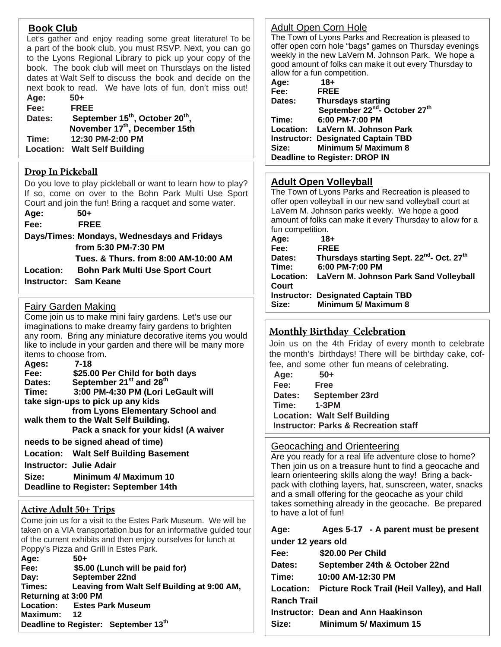# **Book Club**

Let's gather and enjoy reading some great literature! To be a part of the book club, you must RSVP. Next, you can go to the Lyons Regional Library to pick up your copy of the book. The book club will meet on Thursdays on the listed dates at Walt Self to discuss the book and decide on the next book to read. We have lots of fun, don't miss out! **Age: 50+** 

| лчч.   | <u>uw</u>                                               |
|--------|---------------------------------------------------------|
| Fee:   | <b>FREE</b>                                             |
| Dates: | September 15 <sup>th</sup> , October 20 <sup>th</sup> , |
|        | November 17th, December 15th                            |
| Time:  | 12:30 PM-2:00 PM                                        |
|        | <b>Location: Walt Self Building</b>                     |

## **Drop In Pickeball**

Do you love to play pickleball or want to learn how to play? If so, come on over to the Bohn Park Multi Use Sport Court and join the fun! Bring a racquet and some water.

**Age: 50+ Fee: FREE** 

**Days/Times: Mondays, Wednesdays and Fridays from 5:30 PM-7:30 PM Tues. & Thurs. from 8:00 AM-10:00 AM Location: Bohn Park Multi Use Sport Court Instructor: Sam Keane** 

## Fairy Garden Making

Come join us to make mini fairy gardens. Let's use our imaginations to make dreamy fairy gardens to brighten any room. Bring any miniature decorative items you would like to include in your garden and there will be many more items to choose from.

| Ages:                                | $7-18$                                          |  |
|--------------------------------------|-------------------------------------------------|--|
| Fee:                                 | \$25.00 Per Child for both days                 |  |
| Dates:                               | September 21 <sup>st</sup> and 28 <sup>th</sup> |  |
| Time:                                | 3:00 PM-4:30 PM (Lori LeGault will              |  |
| take sign-ups to pick up any kids    |                                                 |  |
|                                      | from Lyons Elementary School and                |  |
| walk them to the Walt Self Building. |                                                 |  |
|                                      | Pack a snack for your kids! (A waiver           |  |
| needs to be signed ahead of time)    |                                                 |  |
|                                      | <b>Location: Walt Self Building Basement</b>    |  |
|                                      | <b>Instructor: Julie Adair</b>                  |  |

**Size: Minimum 4/ Maximum 10** 

## **Deadline to Register: September 14th**

## **Active Adult 50+ Trips**

Come join us for a visit to the Estes Park Museum. We will be taken on a VIA transportation bus for an informative guided tour of the current exhibits and then enjoy ourselves for lunch at Poppy's Pizza and Grill in Estes Park.

| Age:                        | $50+$                                       |
|-----------------------------|---------------------------------------------|
| Fee:                        | \$5.00 (Lunch will be paid for)             |
| Day:                        | September 22nd                              |
| Times:                      | Leaving from Walt Self Building at 9:00 AM, |
| <b>Returning at 3:00 PM</b> |                                             |
| <b>Location:</b>            | <b>Estes Park Museum</b>                    |
| Maximum:                    | $\overline{12}$                             |
|                             | Deadline to Register: September 13th        |

#### Adult Open Corn Hole

The Town of Lyons Parks and Recreation is pleased to offer open corn hole "bags" games on Thursday evenings weekly in the new LaVern M. Johnson Park. We hope a good amount of folks can make it out every Thursday to allow for a fun competition.

| Age:   | $18 +$                                                |
|--------|-------------------------------------------------------|
| Fee:   | <b>FREE</b>                                           |
| Dates: | <b>Thursdays starting</b>                             |
|        | September 22 <sup>nd</sup> - October 27 <sup>th</sup> |
| Time:  | 6:00 PM-7:00 PM                                       |
|        | Location: LaVern M. Johnson Park                      |
|        | <b>Instructor: Designated Captain TBD</b>             |
| Size:  | Minimum 5/ Maximum 8                                  |
|        | <b>Deadline to Register: DROP IN</b>                  |

#### **Adult Open Volleyball**

The Town of Lyons Parks and Recreation is pleased to offer open volleyball in our new sand volleyball court at LaVern M. Johnson parks weekly. We hope a good amount of folks can make it every Thursday to allow for a fun competition.

| Age:          | $18 +$                                                                   |
|---------------|--------------------------------------------------------------------------|
| Fee:          | <b>FREE</b>                                                              |
| <b>Dates:</b> | Thursdays starting Sept. 22 <sup>nd</sup> - Oct. 27 <sup>th</sup>        |
| Time:         | 6:00 PM-7:00 PM                                                          |
| Court         | Location: LaVern M. Johnson Park Sand Volleyball                         |
| Size:         | <b>Instructor: Designated Captain TBD</b><br><b>Minimum 5/ Maximum 8</b> |

## **Monthly Birthday Celebration**

Join us on the 4th Friday of every month to celebrate the month's birthdays! There will be birthday cake, coffee, and some other fun means of celebrating.

| Age:                                            | $50+$          |  |
|-------------------------------------------------|----------------|--|
| Fee:                                            | <b>Free</b>    |  |
| Dates:                                          | September 23rd |  |
| Time:                                           | $1-3PM$        |  |
| <b>Location: Walt Self Building</b>             |                |  |
| <b>Instructor: Parks &amp; Recreation staff</b> |                |  |
|                                                 |                |  |

#### Geocaching and Orienteering

Are you ready for a real life adventure close to home? Then join us on a treasure hunt to find a geocache and learn orienteering skills along the way! Bring a backpack with clothing layers, hat, sunscreen, water, snacks and a small offering for the geocache as your child takes something already in the geocache. Be prepared to have a lot of fun!

| Age:               | Ages 5-17 - A parent must be present       |
|--------------------|--------------------------------------------|
| under 12 years old |                                            |
| Fee:               | \$20.00 Per Child                          |
| Dates:             | September 24th & October 22nd              |
| Time:              | 10:00 AM-12:30 PM                          |
| Location:          | Picture Rock Trail (Heil Valley), and Hall |
| <b>Ranch Trail</b> |                                            |
|                    | <b>Instructor: Dean and Ann Haakinson</b>  |
| Size:              | <b>Minimum 5/ Maximum 15</b>               |
|                    |                                            |